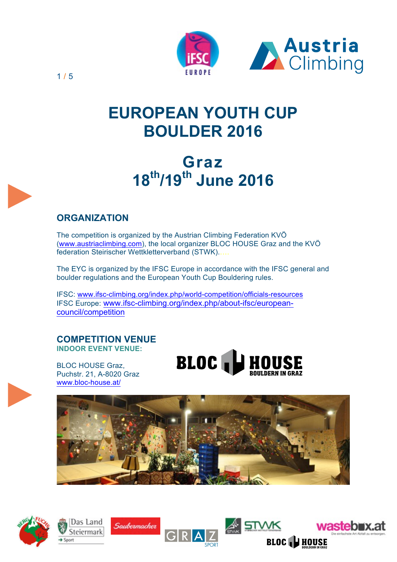

# **EUROPEAN YOUTH CUP BOULDER 2016**

# **Graz 18th/19th June 2016**

# **ORGANIZATION**

The competition is organized by the Austrian Climbing Federation KVÖ (www.austriaclimbing.com), the local organizer BLOC HOUSE Graz and the KVÖ federation Steirischer Wettkletterverband (STWK).….

The EYC is organized by the IFSC Europe in accordance with the IFSC general and boulder regulations and the European Youth Cup Bouldering rules.

IFSC: www.ifsc-climbing.org/index.php/world-competition/officials-resources IFSC Europe: www.ifsc-climbing.org/index.php/about-ifsc/europeancouncil/competition

#### **COMPETITION VENUE INDOOR EVENT VENUE:**

BLOC HOUSE Graz, Puchstr. 21, A-8020 Graz www.bloc-house.at/













1 / 5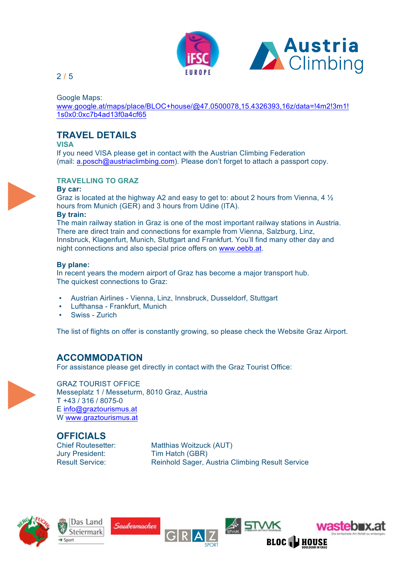

Google Maps:

www.google.at/maps/place/BLOC+house/@47.0500078,15.4326393,16z/data=!4m2!3m1! 1s0x0:0xc7b4ad13f0a4cf65

# **TRAVEL DETAILS**

**VISA**

If you need VISA please get in contact with the Austrian Climbing Federation (mail: a.posch@austriaclimbing.com). Please don't forget to attach a passport copy.



#### **TRAVELLING TO GRAZ**

#### **By car:**

Graz is located at the highway A2 and easy to get to: about 2 hours from Vienna, 4 ½ hours from Munich (GER) and 3 hours from Udine (ITA).

#### **By train:**

The main railway station in Graz is one of the most important railway stations in Austria. There are direct train and connections for example from Vienna, Salzburg, Linz, Innsbruck, Klagenfurt, Munich, Stuttgart and Frankfurt. You'll find many other day and night connections and also special price offers on www.oebb.at.

#### **By plane:**

In recent years the modern airport of Graz has become a major transport hub. The quickest connections to Graz:

- Austrian Airlines Vienna, Linz, Innsbruck, Dusseldorf, Stuttgart
- Lufthansa Frankfurt, Munich
- Swiss Zurich

The list of flights on offer is constantly growing, so please check the Website Graz Airport.

### **ACCOMMODATION**

For assistance please get directly in contact with the Graz Tourist Office:



GRAZ TOURIST OFFICE Messeplatz 1 / Messeturm, 8010 Graz, Austria T +43 / 316 / 8075-0 E info@graztourismus.at W www.graztourismus.at

**OFFICIALS** Jury President: Tim Hatch (GBR)

Chief Routesetter: Matthias Woitzuck (AUT) Result Service: Reinhold Sager, Austria Climbing Result Service

I STWK





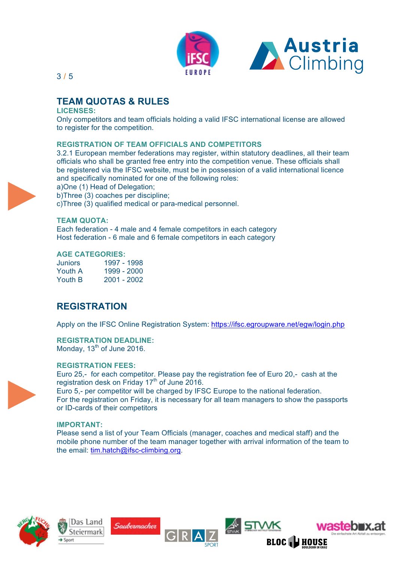

# **TEAM QUOTAS & RULES**

#### **LICENSES:**

Only competitors and team officials holding a valid IFSC international license are allowed to register for the competition.

#### **REGISTRATION OF TEAM OFFICIALS AND COMPETITORS**

3.2.1 European member federations may register, within statutory deadlines, all their team officials who shall be granted free entry into the competition venue. These officials shall be registered via the IFSC website, must be in possession of a valid international licence and specifically nominated for one of the following roles:

a)One (1) Head of Delegation;

b)Three (3) coaches per discipline;

c)Three (3) qualified medical or para-medical personnel.

#### **TEAM QUOTA:**

Each federation - 4 male and 4 female competitors in each category Host federation - 6 male and 6 female competitors in each category

#### **AGE CATEGORIES:**

Juniors 1997 - 1998 Youth A 1999 - 2000 Youth B 2001 - 2002

# **REGISTRATION**

Apply on the IFSC Online Registration System: https://ifsc.egroupware.net/egw/login.php

# **REGISTRATION DEADLINE:**

Monday,  $13<sup>th</sup>$  of June 2016.

#### **REGISTRATION FEES:**

Euro 25,- for each competitor. Please pay the registration fee of Euro 20,- cash at the registration desk on Friday 17<sup>th</sup> of June 2016.

Euro 5,- per competitor will be charged by IFSC Europe to the national federation. For the registration on Friday, it is necessary for all team managers to show the passports or ID-cards of their competitors

#### **IMPORTANT:**

Please send a list of your Team Officials (manager, coaches and medical staff) and the mobile phone number of the team manager together with arrival information of the team to the email: tim.hatch@ifsc-climbing.org.

≰<sup>।</sup> STWK







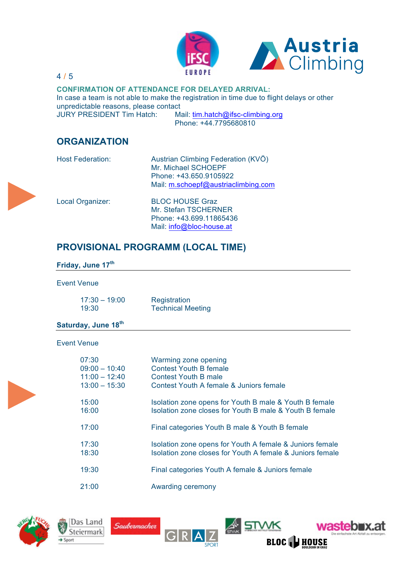



**CONFIRMATION OF ATTENDANCE FOR DELAYED ARRIVAL:**  In case a team is not able to make the registration in time due to flight delays or other unpredictable reasons, please contact JURY PRESIDENT Tim Hatch: Mail: tim.hatch@ifsc-climbing.org

Phone: +44.7795680810

# **ORGANIZATION**

| <b>Host Federation:</b> | Austrian Climbing Federation (KVÖ)  |
|-------------------------|-------------------------------------|
|                         | Mr. Michael SCHOEPF                 |
|                         | Phone: +43.650.9105922              |
|                         | Mail: m.schoepf@austriaclimbing.com |

Local Organizer: BLOC HOUSE Graz Mr. Stefan TSCHERNER Phone: +43.699.11865436 Mail: info@bloc-house.at

# **PROVISIONAL PROGRAMM (LOCAL TIME)**

#### **Friday, June 17th**

#### Event Venue

| $17:30 - 19:00$ | Registration             |
|-----------------|--------------------------|
| 19:30           | <b>Technical Meeting</b> |

Saubermacher

#### **Saturday, June 18th**

Das Land

Steiermark

#### Event Venue

| 07:30           | Warming zone opening                                      |
|-----------------|-----------------------------------------------------------|
| $09:00 - 10:40$ | <b>Contest Youth B female</b>                             |
| $11:00 - 12:40$ | Contest Youth B male                                      |
| $13:00 - 15:30$ | Contest Youth A female & Juniors female                   |
| 15:00           | Isolation zone opens for Youth B male & Youth B female    |
| 16:00           | Isolation zone closes for Youth B male & Youth B female   |
| 17:00           | Final categories Youth B male & Youth B female            |
| 17:30           | Isolation zone opens for Youth A female & Juniors female  |
| 18:30           | Isolation zone closes for Youth A female & Juniors female |
| 19:30           | Final categories Youth A female & Juniors female          |
| 21:00           | Awarding ceremony                                         |

**A.** STWK

**BLOC HI HOUSE** 

wastebnx.at